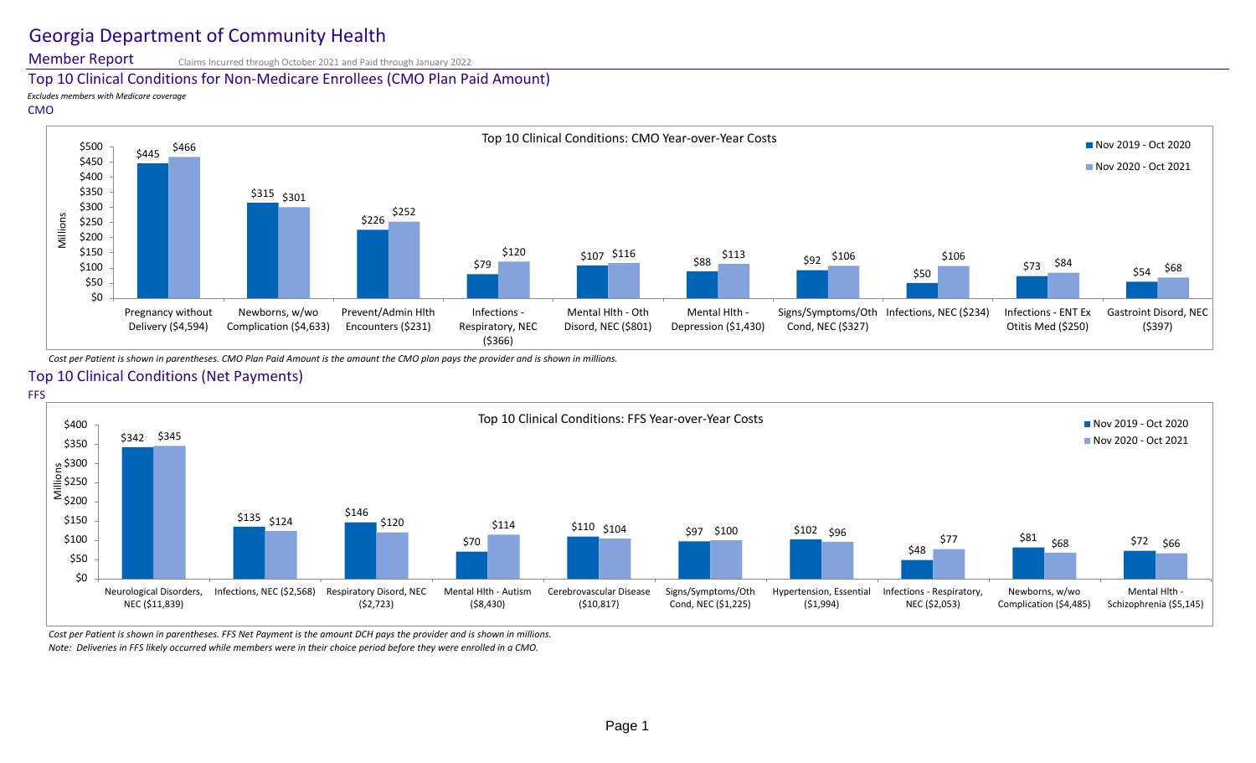# Georgia Department of Community Health

Member Report

Claims Incurred through October 2021 and Paid through January 2022

### Top 10 Clinical Conditions for Non-Medicare Enrollees (CMO Plan Paid Amount)

*Excludes members with Medicare coverage*

#### CMO



*Cost per Patient is shown in parentheses. CMO Plan Paid Amount is the amount the CMO plan pays the provider and is shown in millions.*

## Top 10 Clinical Conditions (Net Payments)



*Cost per Patient is shown in parentheses. FFS Net Payment is the amount DCH pays the provider and is shown in millions. Note: Deliveries in FFS likely occurred while members were in their choice period before they were enrolled in a CMO.*